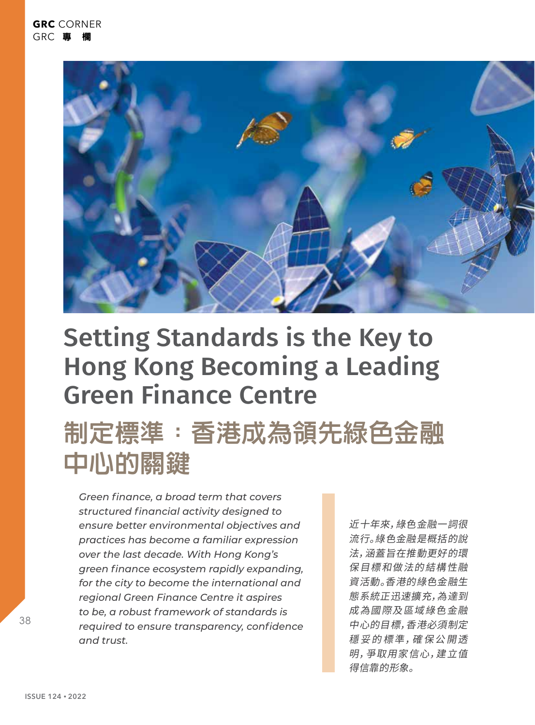

# Setting Standards is the Key to Hong Kong Becoming a Leading Green Finance Centre

# **制定標準:香港成為領先綠色金融 中心的關鍵**

*Green finance, a broad term that covers structured financial activity designed to ensure better environmental objectives and practices has become a familiar expression over the last decade. With Hong Kong's green finance ecosystem rapidly expanding, for the city to become the international and regional Green Finance Centre it aspires to be, a robust framework of standards is required to ensure transparency, confidence and trust.* 

近十年來,綠色金融一詞很 流行。綠色金融是概括的說 法,涵蓋旨在推動更好的環 保目標和做法的結構性融 資活動。香港的綠色金融生 態系統正迅速擴充,為達到 成為國際及區域綠色金融 中心的目標,香港必須制定 穩 妥 的 標 準,確 保 公 開 透 明,爭取用家信心,建立值 得信靠的形象。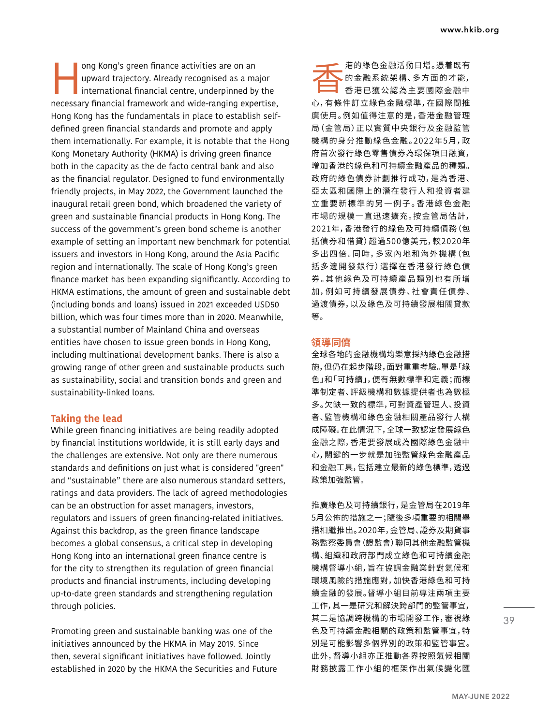ong Kong's green finance activities are on an<br>upward trajectory. Already recognised as a mainternational financial centre, underpinned by<br>necessary financial framework and wide-ranging expe upward trajectory. Already recognised as a major international financial centre, underpinned by the necessary financial framework and wide-ranging expertise, Hong Kong has the fundamentals in place to establish selfdefined green financial standards and promote and apply them internationally. For example, it is notable that the Hong Kong Monetary Authority (HKMA) is driving green finance both in the capacity as the de facto central bank and also as the financial regulator. Designed to fund environmentally friendly projects, in May 2022, the Government launched the inaugural retail green bond, which broadened the variety of green and sustainable financial products in Hong Kong. The success of the government's green bond scheme is another example of setting an important new benchmark for potential issuers and investors in Hong Kong, around the Asia Pacific region and internationally. The scale of Hong Kong's green finance market has been expanding significantly. According to HKMA estimations, the amount of green and sustainable debt (including bonds and loans) issued in 2021 exceeded USD50 billion, which was four times more than in 2020. Meanwhile, a substantial number of Mainland China and overseas entities have chosen to issue green bonds in Hong Kong, including multinational development banks. There is also a growing range of other green and sustainable products such as sustainability, social and transition bonds and green and sustainability-linked loans.

### **Taking the lead**

While green financing initiatives are being readily adopted by financial institutions worldwide, it is still early days and the challenges are extensive. Not only are there numerous standards and definitions on just what is considered "green" and "sustainable" there are also numerous standard setters, ratings and data providers. The lack of agreed methodologies can be an obstruction for asset managers, investors, regulators and issuers of green financing-related initiatives. Against this backdrop, as the green finance landscape becomes a global consensus, a critical step in developing Hong Kong into an international green finance centre is for the city to strengthen its regulation of green financial products and financial instruments, including developing up-to-date green standards and strengthening regulation through policies.

Promoting green and sustainable banking was one of the initiatives announced by the HKMA in May 2019. Since then, several significant initiatives have followed. Jointly established in 2020 by the HKMA the Securities and Future 香港的綠色金融活動日增。憑着既有 的金融系統架構、多方面的才能, 香港已獲公認為主要國際金融中 心,有條件訂立綠色金融標準,在國際間推 廣使用。例如值得注意的是,香港金融管理 局(金管局)正以實質中央銀行及金融監管 機構的身分推動綠色金融。2022年5月,政 府首次發行綠色零售債券為環保項目融資, 增加香港的綠色和可持續金融產品的種類。 政府的綠色債券計劃推行成功,是為香港、 亞太區和國際上的潛在發行人和投資者建 立 重 要 新 標 準 的 另 一 例 子 。香 港 綠 色 金 融 市場的規模一直迅速擴充。按金管局估計, 2021年,香港發行的綠色及可持續債務(包 括債券和借貸)超過500億美元,較2020年 多出四倍。同時,多家內地和海外機構(包 括多邊開發銀行)選擇在香港發行綠色債 券 。其 他 綠 色 及 可 持 續 產 品 類 別 也 有 所 增 加,例如可持續發展債券、社會責任債券、 過渡債券,以及綠色及可持續發展相關貸款 等。

### **領導同儕**

全球各地的金融機構均樂意採納綠色金融措 施,但仍在起步階段,面對重重考驗。單是「綠 色」和「可持續」,便有無數標準和定義;而標 準制定者、評級機構和數據提供者也為數極 多。欠缺一致的標準,可對資產管理人、投資 者、監管機構和綠色金融相關產品發行人構 成障礙。在此情況下,全球一致認定發展綠色 金融之際,香港要發展成為國際綠色金融中 心,關鍵的一步就是加強監管綠色金融產品 和金融工具,包括建立最新的綠色標準,透過 政策加強監管。

推廣綠色及可持續銀行,是金管局在2019年 5月公佈的措施之一;隨後多項重要的相關舉 措相繼推出。2020年,金管局、證券及期貨事 務監察委員會(證監會)聯同其他金融監管機 構、組織和政府部門成立綠色和可持續金融 機構督導小組,旨在協調金融業針對氣候和 環境風險的措施應對,加快香港綠色和可持 續金融的發展。督導小組目前專注兩項主要 工作,其一是研究和解決跨部門的監管事宜, 其二是協調跨機構的市場開發工作,審視綠 色及可持續金融相關的政策和監管事宜,特 別是可能影響多個界別的政策和監管事宜。 此外,督導小組亦正推動各界按照氣候相關 財務披露工作小組的框架作出氣候變化匯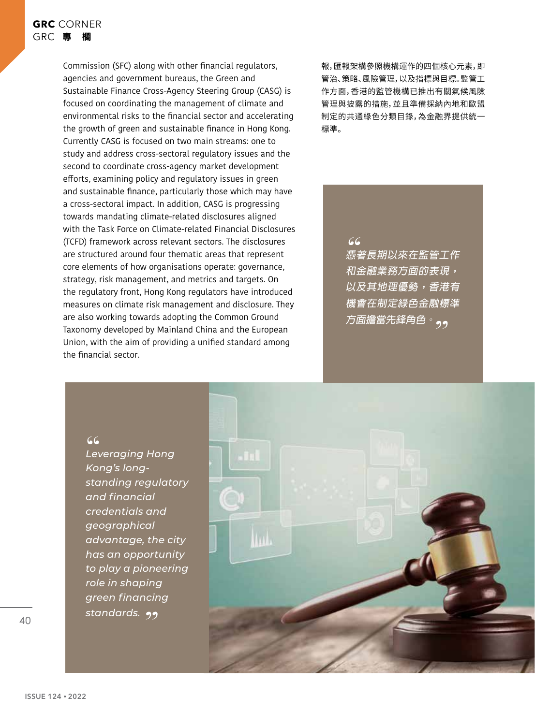Commission (SFC) along with other financial regulators, agencies and government bureaus, the Green and Sustainable Finance Cross-Agency Steering Group (CASG) is focused on coordinating the management of climate and environmental risks to the financial sector and accelerating the growth of green and sustainable finance in Hong Kong. Currently CASG is focused on two main streams: one to study and address cross-sectoral regulatory issues and the second to coordinate cross-agency market development efforts, examining policy and regulatory issues in green and sustainable finance, particularly those which may have a cross-sectoral impact. In addition, CASG is progressing towards mandating climate-related disclosures aligned with the Task Force on Climate-related Financial Disclosures (TCFD) framework across relevant sectors. The disclosures are structured around four thematic areas that represent core elements of how organisations operate: governance, strategy, risk management, and metrics and targets. On the regulatory front, Hong Kong regulators have introduced measures on climate risk management and disclosure. They are also working towards adopting the Common Ground Taxonomy developed by Mainland China and the European Union, with the aim of providing a unified standard among the financial sector.

報,匯報架構參照機構運作的四個核心元素,即 管治、策略、風險管理,以及指標與目標。監管工 作方面,香港的監管機構已推出有關氣候風險 管理與披露的措施,並且準備採納內地和歐盟 制定的共通綠色分類目錄,為金融界提供統一 標準。

## **"**

 **憑著長期以來在監管工作 和金融業務方面的表現, 以及其地理優勢,香港有 機會在制定綠色金融標準** 方面擔當先鋒角色<sup>。</sup>。。

**"** *Leveraging Hong Kong's longstanding regulatory and financial credentials and geographical advantage, the city has an opportunity to play a pioneering role in shaping green financing standards.* 



40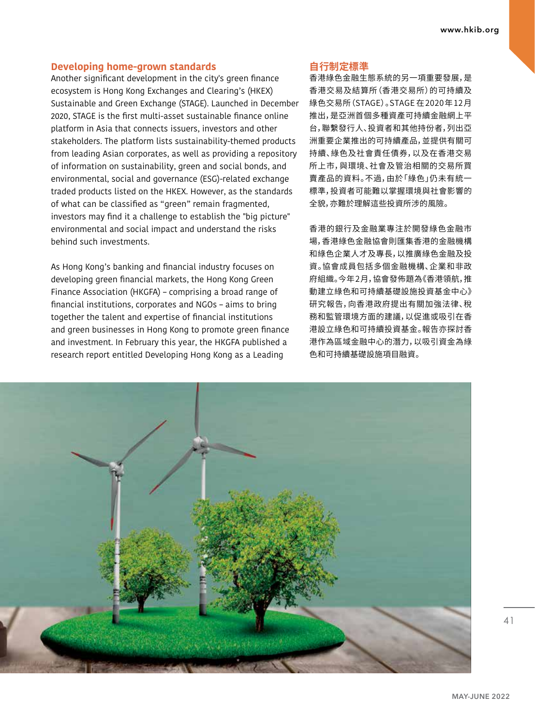# **Developing home-grown standards**

Another significant development in the city's green finance ecosystem is Hong Kong Exchanges and Clearing's (HKEX) Sustainable and Green Exchange (STAGE). Launched in December 2020, STAGE is the first multi-asset sustainable finance online platform in Asia that connects issuers, investors and other stakeholders. The platform lists sustainability-themed products from leading Asian corporates, as well as providing a repository of information on sustainability, green and social bonds, and environmental, social and governance (ESG)-related exchange traded products listed on the HKEX. However, as the standards of what can be classified as "green" remain fragmented, investors may find it a challenge to establish the "big picture" environmental and social impact and understand the risks behind such investments.

As Hong Kong's banking and financial industry focuses on developing green financial markets, the Hong Kong Green Finance Association (HKGFA) – comprising a broad range of financial institutions, corporates and NGOs – aims to bring together the talent and expertise of financial institutions and green businesses in Hong Kong to promote green finance and investment. In February this year, the HKGFA published a research report entitled Developing Hong Kong as a Leading

# **自行制定標準**

香港綠色金融生態系統的另一項重要發展,是 香港交易及結算所(香港交易所)的可持續及 綠色交易所(STAGE)。STAGE 在2020年12月 推出,是亞洲首個多種資產可持續金融網上平 台,聯繫發行人、投資者和其他持份者,列出亞 洲重要企業推出的可持續產品,並提供有關可 持續、綠色及社會責任債券,以及在香港交易 所上市,與環境、社會及管治相關的交易所買 賣產品的資料。不過,由於「綠色」仍未有統一 標準,投資者可能難以掌握環境與社會影響的 全貌,亦難於理解這些投資所涉的風險。

香港的銀行及金融業專注於開發綠色金融市 場,香港綠色金融協會則匯集香港的金融機構 和綠色企業人才及專長,以推廣綠色金融及投 資。協會成員包括多個金融機構、企業和非政 府組織。今年2月,協會發佈題為《香港領航,推 動建立綠色和可持續基礎設施投資基金中心》 研究報告,向香港政府提出有關加強法律、稅 務和監管環境方面的建議,以促進或吸引在香 港設立綠色和可持續投資基金。報告亦探討香 港作為區域金融中心的潛力,以吸引資金為綠 色和可持續基礎設施項目融資。



41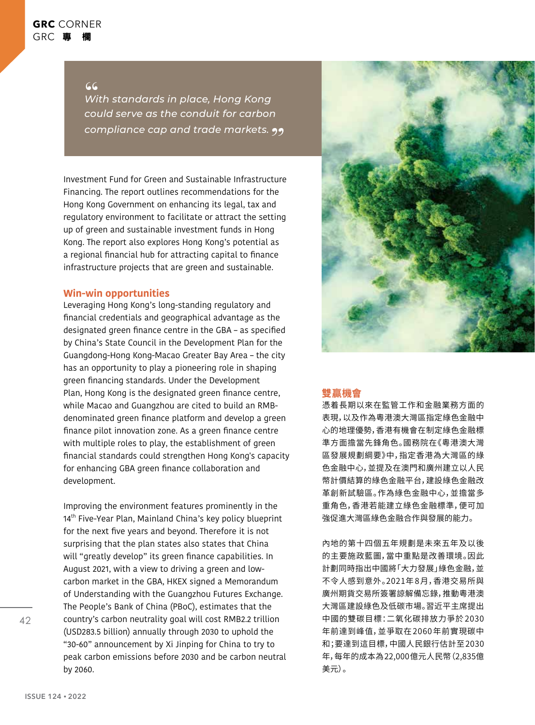# **GRC** CORNER GRC 專 欄

**"** *With standards in place, Hong Kong could serve as the conduit for carbon compliance cap and trade markets.* 

Investment Fund for Green and Sustainable Infrastructure Financing. The report outlines recommendations for the Hong Kong Government on enhancing its legal, tax and regulatory environment to facilitate or attract the setting up of green and sustainable investment funds in Hong Kong. The report also explores Hong Kong's potential as a regional financial hub for attracting capital to finance infrastructure projects that are green and sustainable.

# **Win-win opportunities**

Leveraging Hong Kong's long-standing regulatory and financial credentials and geographical advantage as the designated green finance centre in the GBA – as specified by China's State Council in the Development Plan for the Guangdong-Hong Kong-Macao Greater Bay Area – the city has an opportunity to play a pioneering role in shaping green financing standards. Under the Development Plan, Hong Kong is the designated green finance centre, while Macao and Guangzhou are cited to build an RMBdenominated green finance platform and develop a green finance pilot innovation zone. As a green finance centre with multiple roles to play, the establishment of green financial standards could strengthen Hong Kong's capacity for enhancing GBA green finance collaboration and development.

Improving the environment features prominently in the 14<sup>th</sup> Five-Year Plan, Mainland China's key policy blueprint for the next five years and beyond. Therefore it is not surprising that the plan states also states that China will "greatly develop" its green finance capabilities. In August 2021, with a view to driving a green and lowcarbon market in the GBA, HKEX signed a Memorandum of Understanding with the Guangzhou Futures Exchange. The People's Bank of China (PBoC), estimates that the country's carbon neutrality goal will cost RMB2.2 trillion (USD283.5 billion) annually through 2030 to uphold the "30-60" announcement by Xi Jinping for China to try to peak carbon emissions before 2030 and be carbon neutral by 2060.



## **雙贏機會**

憑着長期以來在監管工作和金融業務方面的 表現,以及作為粵港澳大灣區指定綠色金融中 心的地理優勢,香港有機會在制定綠色金融標 準方面擔當先鋒角色。國務院在《粵港澳大灣 區發展規劃綱要》中,指定香港為大灣區的綠 色金融中心,並提及在澳門和廣州建立以人民 幣計價結算的綠色金融平台,建設綠色金融改 革創新試驗區。作為綠色金融中心,並擔當多 重角色,香港若能建立綠色金融標準,便可加 強促進大灣區綠色金融合作與發展的能力。

內地的第十四個五年規劃是未來五年及以後 的主要施政藍圖,當中重點是改善環境。因此 計劃同時指出中國將「大力發展」綠色金融,並 不令人感到意外。2021年8月,香港交易所與 廣州期貨交易所簽署諒解備忘錄,推動粵港澳 大灣區建設綠色及低碳市場。習近平主席提出 中國的雙碳目標:二氧化碳排放力爭於2030 年前達到峰值,並爭取在2060年前實現碳中 和;要達到這目標,中國人民銀行估計至2030 年,每年的成本為22,000億元人民幣(2,835億 美元)。